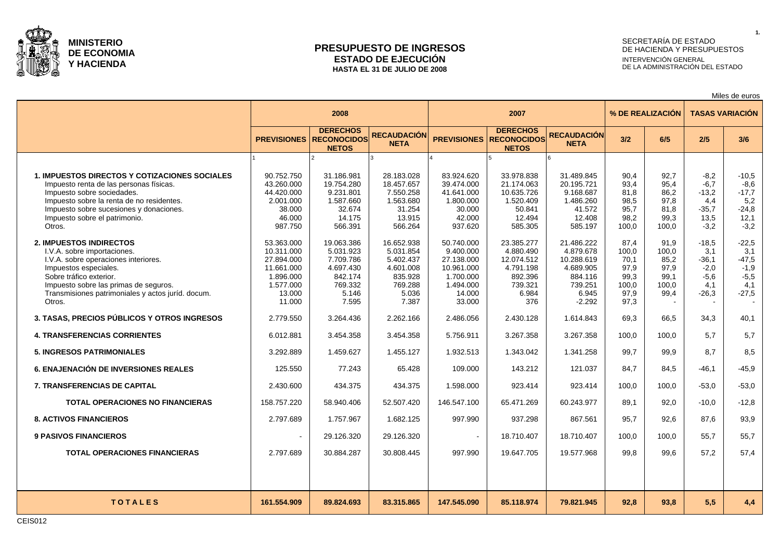

### **PRESUPUESTO DE INGRESOS ESTADO DE EJECUCIÓN HASTA EL 31 DE JULIO DE 2008**

# SECRETARÍA DE ESTADO DE HACIENDA Y PRESUPUESTOS INTERVENCIÓN GENERAL DE LA ADMINISTRACIÓN DEL ESTADO

Miles de euros

|                                                                                                                                                                                                                                                                   |                                                                                                    | 2008                                                                                      |                                                                                           |                                                                                                   | 2007                                                                                     |                                                                                               |                                                                |                                                        |                                                                 | <b>TASAS VARIACIÓN</b>                                           |
|-------------------------------------------------------------------------------------------------------------------------------------------------------------------------------------------------------------------------------------------------------------------|----------------------------------------------------------------------------------------------------|-------------------------------------------------------------------------------------------|-------------------------------------------------------------------------------------------|---------------------------------------------------------------------------------------------------|------------------------------------------------------------------------------------------|-----------------------------------------------------------------------------------------------|----------------------------------------------------------------|--------------------------------------------------------|-----------------------------------------------------------------|------------------------------------------------------------------|
|                                                                                                                                                                                                                                                                   | <b>PREVISIONES</b>                                                                                 | <b>DERECHOS</b><br><b>RECONOCIDOS</b><br><b>NETOS</b>                                     | <b>RECAUDACIÓN</b><br><b>NETA</b>                                                         | <b>PREVISIONES</b>                                                                                | <b>DERECHOS</b><br><b>RECONOCIDOS</b><br><b>NETOS</b>                                    | <b>RECAUDACIÓN</b><br><b>NETA</b>                                                             | 3/2                                                            | 6/5                                                    | 2/5                                                             | 3/6                                                              |
|                                                                                                                                                                                                                                                                   |                                                                                                    |                                                                                           |                                                                                           |                                                                                                   |                                                                                          |                                                                                               |                                                                |                                                        |                                                                 |                                                                  |
| <b>1. IMPUESTOS DIRECTOS Y COTIZACIONES SOCIALES</b><br>Impuesto renta de las personas físicas.<br>Impuesto sobre sociedades.<br>Impuesto sobre la renta de no residentes.<br>Impuesto sobre sucesiones y donaciones.<br>Impuesto sobre el patrimonio.<br>Otros.  | 90.752.750<br>43.260.000<br>44.420.000<br>2.001.000<br>38.000<br>46.000<br>987.750                 | 31.186.981<br>19.754.280<br>9.231.801<br>1.587.660<br>32.674<br>14.175<br>566.391         | 28.183.028<br>18.457.657<br>7.550.258<br>1.563.680<br>31.254<br>13.915<br>566.264         | 83.924.620<br>39.474.000<br>41.641.000<br>1.800.000<br>30.000<br>42.000<br>937.620                | 33.978.838<br>21.174.063<br>10.635.726<br>1.520.409<br>50.841<br>12.494<br>585.305       | 31.489.845<br>20.195.721<br>9.168.687<br>1.486.260<br>41.572<br>12.408<br>585.197             | 90.4<br>93.4<br>81.8<br>98,5<br>95,7<br>98,2<br>100,0          | 92.7<br>95.4<br>86.2<br>97,8<br>81,8<br>99,3<br>100,0  | $-8,2$<br>$-6.7$<br>$-13.2$<br>4,4<br>$-35,7$<br>13,5<br>$-3.2$ | $-10,5$<br>$-8,6$<br>$-17,7$<br>5,2<br>$-24,8$<br>12,1<br>$-3,2$ |
| <b>2. IMPUESTOS INDIRECTOS</b><br>I.V.A. sobre importaciones.<br>I.V.A. sobre operaciones interiores.<br>Impuestos especiales.<br>Sobre tráfico exterior.<br>Impuesto sobre las primas de seguros.<br>Transmisiones patrimoniales y actos juríd. docum.<br>Otros. | 53.363.000<br>10.311.000<br>27.894.000<br>11.661.000<br>1.896.000<br>1.577.000<br>13.000<br>11.000 | 19.063.386<br>5.031.923<br>7.709.786<br>4.697.430<br>842.174<br>769.332<br>5.146<br>7.595 | 16.652.938<br>5.031.854<br>5.402.437<br>4.601.008<br>835.928<br>769.288<br>5.036<br>7.387 | 50.740.000<br>9.400.000<br>27.138.000<br>10.961.000<br>1.700.000<br>1.494.000<br>14.000<br>33.000 | 23.385.277<br>4.880.490<br>12.074.512<br>4.791.198<br>892.396<br>739.321<br>6.984<br>376 | 21.486.222<br>4.879.678<br>10.288.619<br>4.689.905<br>884.116<br>739.251<br>6.945<br>$-2.292$ | 87.4<br>100,0<br>70.1<br>97,9<br>99.3<br>100,0<br>97,9<br>97,3 | 91.9<br>100,0<br>85.2<br>97,9<br>99.1<br>100.0<br>99,4 | $-18.5$<br>3,1<br>$-36,1$<br>$-2,0$<br>$-5.6$<br>4.1<br>$-26,3$ | $-22,5$<br>3,1<br>$-47,5$<br>$-1,9$<br>$-5,5$<br>4.1<br>$-27,5$  |
| 3. TASAS, PRECIOS PÚBLICOS Y OTROS INGRESOS                                                                                                                                                                                                                       | 2.779.550                                                                                          | 3.264.436                                                                                 | 2.262.166                                                                                 | 2.486.056                                                                                         | 2.430.128                                                                                | 1.614.843                                                                                     | 69,3                                                           | 66,5                                                   | 34,3                                                            | 40,1                                                             |
| <b>4. TRANSFERENCIAS CORRIENTES</b>                                                                                                                                                                                                                               | 6.012.881                                                                                          | 3.454.358                                                                                 | 3.454.358                                                                                 | 5.756.911                                                                                         | 3.267.358                                                                                | 3.267.358                                                                                     | 100,0                                                          | 100.0                                                  | 5,7                                                             | 5,7                                                              |
| <b>5. INGRESOS PATRIMONIALES</b>                                                                                                                                                                                                                                  | 3.292.889                                                                                          | 1.459.627                                                                                 | 1.455.127                                                                                 | 1.932.513                                                                                         | 1.343.042                                                                                | 1.341.258                                                                                     | 99,7                                                           | 99,9                                                   | 8.7                                                             | 8,5                                                              |
| <b>6. ENAJENACIÓN DE INVERSIONES REALES</b>                                                                                                                                                                                                                       | 125.550                                                                                            | 77.243                                                                                    | 65.428                                                                                    | 109.000                                                                                           | 143.212                                                                                  | 121.037                                                                                       | 84,7                                                           | 84,5                                                   | $-46.1$                                                         | $-45,9$                                                          |
| <b>7. TRANSFERENCIAS DE CAPITAL</b>                                                                                                                                                                                                                               | 2.430.600                                                                                          | 434.375                                                                                   | 434.375                                                                                   | 1.598.000                                                                                         | 923.414                                                                                  | 923.414                                                                                       | 100.0                                                          | 100.0                                                  | $-53.0$                                                         | $-53,0$                                                          |
| <b>TOTAL OPERACIONES NO FINANCIERAS</b>                                                                                                                                                                                                                           | 158.757.220                                                                                        | 58.940.406                                                                                | 52.507.420                                                                                | 146.547.100                                                                                       | 65.471.269                                                                               | 60.243.977                                                                                    | 89.1                                                           | 92.0                                                   | $-10.0$                                                         | $-12,8$                                                          |
| <b>8. ACTIVOS FINANCIEROS</b>                                                                                                                                                                                                                                     | 2.797.689                                                                                          | 1.757.967                                                                                 | 1.682.125                                                                                 | 997.990                                                                                           | 937.298                                                                                  | 867.561                                                                                       | 95,7                                                           | 92,6                                                   | 87,6                                                            | 93,9                                                             |
| <b>9 PASIVOS FINANCIEROS</b>                                                                                                                                                                                                                                      | $\sim$                                                                                             | 29.126.320                                                                                | 29.126.320                                                                                | $\blacksquare$                                                                                    | 18.710.407                                                                               | 18.710.407                                                                                    | 100,0                                                          | 100,0                                                  | 55,7                                                            | 55,7                                                             |
| <b>TOTAL OPERACIONES FINANCIERAS</b>                                                                                                                                                                                                                              | 2.797.689                                                                                          | 30.884.287                                                                                | 30.808.445                                                                                | 997.990                                                                                           | 19.647.705                                                                               | 19.577.968                                                                                    | 99.8                                                           | 99.6                                                   | 57.2                                                            | 57,4                                                             |
|                                                                                                                                                                                                                                                                   |                                                                                                    |                                                                                           |                                                                                           |                                                                                                   |                                                                                          |                                                                                               |                                                                |                                                        |                                                                 |                                                                  |
| <b>TOTALES</b>                                                                                                                                                                                                                                                    | 161.554.909                                                                                        | 89.824.693                                                                                | 83.315.865                                                                                | 147.545.090                                                                                       | 85.118.974                                                                               | 79.821.945                                                                                    | 92.8                                                           | 93.8                                                   | 5.5                                                             | 4,4                                                              |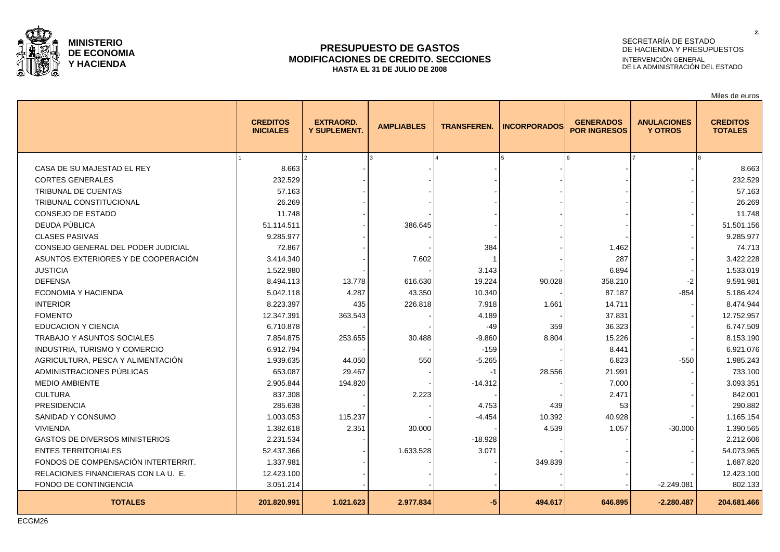

### **PRESUPUESTO DE GASTOS MODIFICACIONES DE CREDITO. SECCIONES HASTA EL 31 DE JULIO DE 2008**

## SECRETARÍA DE ESTADO DE HACIENDA Y PRESUPUESTOS INTERVENCIÓN GENERAL DE LA ADMINISTRACIÓN DEL ESTADO

Miles de euros

|                                       | <b>CREDITOS</b><br><b>INICIALES</b> | <b>EXTRAORD.</b><br>Y SUPLEMENT. | <b>AMPLIABLES</b> | <b>TRANSFEREN.</b> | <b>INCORPORADOS</b> | <b>GENERADOS</b><br><b>POR INGRESOS</b> | <b>ANULACIONES</b><br><b>Y OTROS</b> | <b>CREDITOS</b><br><b>TOTALES</b> |
|---------------------------------------|-------------------------------------|----------------------------------|-------------------|--------------------|---------------------|-----------------------------------------|--------------------------------------|-----------------------------------|
|                                       |                                     |                                  |                   |                    |                     |                                         |                                      |                                   |
| CASA DE SU MAJESTAD EL REY            | 8.663                               |                                  |                   |                    |                     |                                         |                                      | 8.663                             |
| <b>CORTES GENERALES</b>               | 232.529                             |                                  |                   |                    |                     |                                         |                                      | 232.529                           |
| TRIBUNAL DE CUENTAS                   | 57.163                              |                                  |                   |                    |                     |                                         |                                      | 57.163                            |
| TRIBUNAL CONSTITUCIONAL               | 26.269                              |                                  |                   |                    |                     |                                         |                                      | 26.269                            |
| CONSEJO DE ESTADO                     | 11.748                              |                                  |                   |                    |                     |                                         |                                      | 11.748                            |
| DEUDA PÚBLICA                         | 51.114.511                          |                                  | 386.645           |                    |                     |                                         |                                      | 51.501.156                        |
| <b>CLASES PASIVAS</b>                 | 9.285.977                           |                                  |                   |                    |                     |                                         |                                      | 9.285.977                         |
| CONSEJO GENERAL DEL PODER JUDICIAL    | 72.867                              |                                  |                   | 384                |                     | 1.462                                   |                                      | 74.713                            |
| ASUNTOS EXTERIORES Y DE COOPERACIÓN   | 3.414.340                           |                                  | 7.602             |                    |                     | 287                                     |                                      | 3.422.228                         |
| <b>JUSTICIA</b>                       | 1.522.980                           |                                  |                   | 3.143              |                     | 6.894                                   |                                      | 1.533.019                         |
| <b>DEFENSA</b>                        | 8.494.113                           | 13.778                           | 616.630           | 19.224             | 90.028              | 358.210                                 | -2                                   | 9.591.981                         |
| ECONOMIA Y HACIENDA                   | 5.042.118                           | 4.287                            | 43.350            | 10.340             |                     | 87.187                                  | $-854$                               | 5.186.424                         |
| <b>INTERIOR</b>                       | 8.223.397                           | 435                              | 226.818           | 7.918              | 1.661               | 14.711                                  |                                      | 8.474.944                         |
| <b>FOMENTO</b>                        | 12.347.391                          | 363.543                          |                   | 4.189              |                     | 37.831                                  |                                      | 12.752.957                        |
| <b>EDUCACION Y CIENCIA</b>            | 6.710.878                           |                                  |                   | -49                | 359                 | 36.323                                  |                                      | 6.747.509                         |
| TRABAJO Y ASUNTOS SOCIALES            | 7.854.875                           | 253.655                          | 30.488            | $-9.860$           | 8.804               | 15.226                                  |                                      | 8.153.190                         |
| INDUSTRIA, TURISMO Y COMERCIO         | 6.912.794                           |                                  |                   | $-159$             |                     | 8.441                                   |                                      | 6.921.076                         |
| AGRICULTURA, PESCA Y ALIMENTACIÓN     | 1.939.635                           | 44.050                           | 550               | $-5.265$           |                     | 6.823                                   | $-550$                               | 1.985.243                         |
| ADMINISTRACIONES PÚBLICAS             | 653.087                             | 29.467                           |                   | -1                 | 28.556              | 21.991                                  |                                      | 733.100                           |
| <b>MEDIO AMBIENTE</b>                 | 2.905.844                           | 194.820                          |                   | $-14.312$          |                     | 7.000                                   |                                      | 3.093.351                         |
| <b>CULTURA</b>                        | 837.308                             |                                  | 2.223             |                    |                     | 2.471                                   |                                      | 842.001                           |
| <b>PRESIDENCIA</b>                    | 285.638                             |                                  |                   | 4.753              | 439                 | 53                                      |                                      | 290.882                           |
| SANIDAD Y CONSUMO                     | 1.003.053                           | 115.237                          |                   | $-4.454$           | 10.392              | 40.928                                  |                                      | 1.165.154                         |
| <b>VIVIENDA</b>                       | 1.382.618                           | 2.351                            | 30.000            |                    | 4.539               | 1.057                                   | $-30.000$                            | 1.390.565                         |
| <b>GASTOS DE DIVERSOS MINISTERIOS</b> | 2.231.534                           |                                  |                   | $-18.928$          |                     |                                         |                                      | 2.212.606                         |
| <b>ENTES TERRITORIALES</b>            | 52.437.366                          |                                  | 1.633.528         | 3.071              |                     |                                         |                                      | 54.073.965                        |
| FONDOS DE COMPENSACIÓN INTERTERRIT.   | 1.337.981                           |                                  |                   |                    | 349.839             |                                         |                                      | 1.687.820                         |
| RELACIONES FINANCIERAS CON LA U. E.   | 12.423.100                          |                                  |                   |                    |                     |                                         |                                      | 12.423.100                        |
| FONDO DE CONTINGENCIA                 | 3.051.214                           |                                  |                   |                    |                     |                                         | $-2.249.081$                         | 802.133                           |
| <b>TOTALES</b>                        | 201.820.991                         | 1.021.623                        | 2.977.834         | $-5$               | 494.617             | 646.895                                 | $-2.280.487$                         | 204.681.466                       |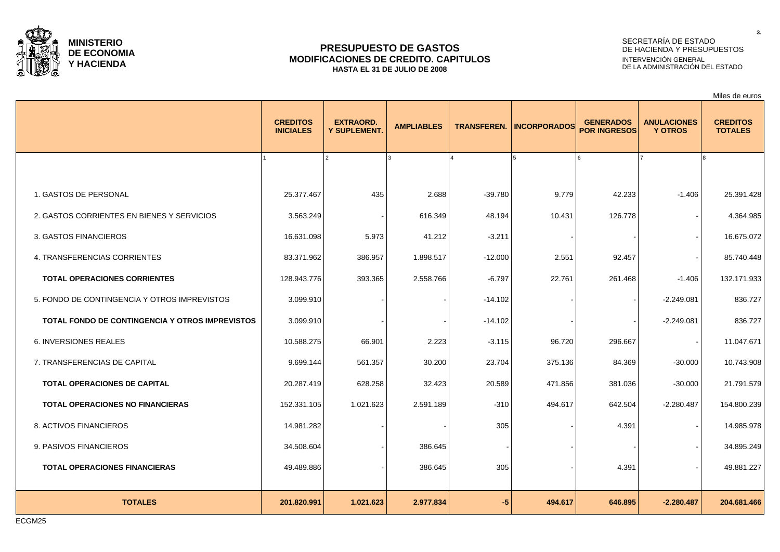

### **PRESUPUESTO DE GASTOS MODIFICACIONES DE CREDITO. CAPITULOS HASTA EL 31 DE JULIO DE 2008**

## SECRETARÍA DE ESTADO DE HACIENDA Y PRESUPUESTOS INTERVENCIÓN GENERAL DE LA ADMINISTRACIÓN DEL ESTADO

|                                                        |                                     |                                         |                   |                    |                     |                                         |                                      | Miles de euros                    |
|--------------------------------------------------------|-------------------------------------|-----------------------------------------|-------------------|--------------------|---------------------|-----------------------------------------|--------------------------------------|-----------------------------------|
|                                                        | <b>CREDITOS</b><br><b>INICIALES</b> | <b>EXTRAORD.</b><br><b>Y SUPLEMENT.</b> | <b>AMPLIABLES</b> | <b>TRANSFEREN.</b> | <b>INCORPORADOS</b> | <b>GENERADOS</b><br><b>POR INGRESOS</b> | <b>ANULACIONES</b><br><b>Y OTROS</b> | <b>CREDITOS</b><br><b>TOTALES</b> |
|                                                        |                                     |                                         |                   |                    |                     |                                         |                                      |                                   |
| 1. GASTOS DE PERSONAL                                  | 25.377.467                          | 435                                     | 2.688             | $-39.780$          | 9.779               | 42.233                                  | $-1.406$                             | 25.391.428                        |
| 2. GASTOS CORRIENTES EN BIENES Y SERVICIOS             | 3.563.249                           |                                         | 616.349           | 48.194             | 10.431              | 126.778                                 |                                      | 4.364.985                         |
| 3. GASTOS FINANCIEROS                                  | 16.631.098                          | 5.973                                   | 41.212            | $-3.211$           |                     |                                         |                                      | 16.675.072                        |
| 4. TRANSFERENCIAS CORRIENTES                           | 83.371.962                          | 386.957                                 | 1.898.517         | $-12.000$          | 2.551               | 92.457                                  |                                      | 85.740.448                        |
| <b>TOTAL OPERACIONES CORRIENTES</b>                    | 128.943.776                         | 393.365                                 | 2.558.766         | $-6.797$           | 22.761              | 261.468                                 | $-1.406$                             | 132.171.933                       |
| 5. FONDO DE CONTINGENCIA Y OTROS IMPREVISTOS           | 3.099.910                           |                                         |                   | $-14.102$          |                     |                                         | $-2.249.081$                         | 836.727                           |
| <b>TOTAL FONDO DE CONTINGENCIA Y OTROS IMPREVISTOS</b> | 3.099.910                           |                                         |                   | $-14.102$          |                     |                                         | $-2.249.081$                         | 836.727                           |
| <b>6. INVERSIONES REALES</b>                           | 10.588.275                          | 66.901                                  | 2.223             | $-3.115$           | 96.720              | 296.667                                 |                                      | 11.047.671                        |
| 7. TRANSFERENCIAS DE CAPITAL                           | 9.699.144                           | 561.357                                 | 30.200            | 23.704             | 375.136             | 84.369                                  | $-30.000$                            | 10.743.908                        |
| TOTAL OPERACIONES DE CAPITAL                           | 20.287.419                          | 628.258                                 | 32.423            | 20.589             | 471.856             | 381.036                                 | $-30.000$                            | 21.791.579                        |
| <b>TOTAL OPERACIONES NO FINANCIERAS</b>                | 152.331.105                         | 1.021.623                               | 2.591.189         | $-310$             | 494.617             | 642.504                                 | $-2.280.487$                         | 154.800.239                       |
| 8. ACTIVOS FINANCIEROS                                 | 14.981.282                          |                                         |                   | 305                |                     | 4.391                                   |                                      | 14.985.978                        |
| 9. PASIVOS FINANCIEROS                                 | 34.508.604                          |                                         | 386.645           |                    |                     |                                         |                                      | 34.895.249                        |
| <b>TOTAL OPERACIONES FINANCIERAS</b>                   | 49.489.886                          |                                         | 386.645           | 305                |                     | 4.391                                   |                                      | 49.881.227                        |
|                                                        |                                     |                                         |                   |                    |                     |                                         |                                      |                                   |
| <b>TOTALES</b>                                         | 201.820.991                         | 1.021.623                               | 2.977.834         | $-5$               | 494.617             | 646.895                                 | $-2.280.487$                         | 204.681.466                       |

ECGM25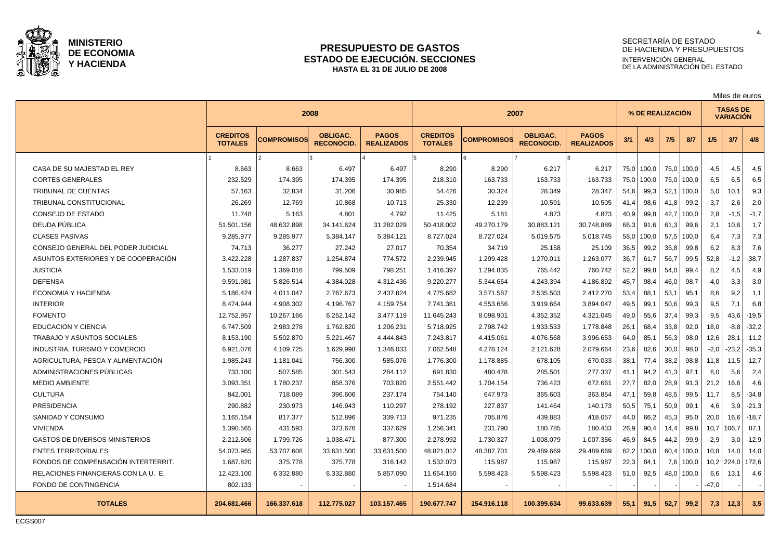

#### **PRESUPUESTO DE GASTOS ESTADO DE EJECUCIÓN. SECCIONES HASTA EL 31 DE JULIO DE 2008**

## SECRETARÍA DE ESTADO DE HACIENDA Y PRESUPUESTOS INTERVENCIÓN GENERAL DE LA ADMINISTRACIÓN DEL ESTADO

|                                       |                                   |                    |                                      |                                   |                                   |                    |                                      |                                   |      | Miles de euros   |      |       |         |                                     |         |
|---------------------------------------|-----------------------------------|--------------------|--------------------------------------|-----------------------------------|-----------------------------------|--------------------|--------------------------------------|-----------------------------------|------|------------------|------|-------|---------|-------------------------------------|---------|
|                                       |                                   | 2008               |                                      |                                   |                                   |                    | 2007                                 |                                   |      | % DE REALIZACION |      |       |         | <b>TASAS DE</b><br><b>VARIACIÓN</b> |         |
|                                       | <b>CREDITOS</b><br><b>TOTALES</b> | <b>COMPROMISOS</b> | <b>OBLIGAC.</b><br><b>RECONOCID.</b> | <b>PAGOS</b><br><b>REALIZADOS</b> | <b>CREDITOS</b><br><b>TOTALES</b> | <b>COMPROMISOS</b> | <b>OBLIGAC.</b><br><b>RECONOCID.</b> | <b>PAGOS</b><br><b>REALIZADOS</b> | 3/1  | 4/3              | 7/5  | 8/7   | 1/5     | 3/7                                 | 4/8     |
|                                       |                                   |                    |                                      |                                   |                                   |                    |                                      |                                   |      |                  |      |       |         |                                     |         |
| CASA DE SU MAJESTAD EL REY            | 8.663                             | 8.663              | 6.497                                | 6.497                             | 8.290                             | 8.290              | 6.217                                | 6.217                             |      | 75,0 100,0       | 75,0 | 100,0 | 4,5     | 4,5                                 | 4,5     |
| <b>CORTES GENERALES</b>               | 232.529                           | 174.395            | 174.395                              | 174.395                           | 218.310                           | 163.733            | 163.733                              | 163.733                           | 75,0 | 100,0            | 75,0 | 100,0 | 6,5     | 6,5                                 | 6,5     |
| <b>TRIBUNAL DE CUENTAS</b>            | 57.163                            | 32.834             | 31.206                               | 30.985                            | 54.426                            | 30.324             | 28.349                               | 28.347                            | 54,6 | 99,3             | 52.7 | 100,0 | 5,0     | 10.1                                | 9,3     |
| <b>TRIBUNAL CONSTITUCIONAL</b>        | 26.269                            | 12.769             | 10.868                               | 10.713                            | 25.330                            | 12.239             | 10.591                               | 10.505                            | 41,4 | 98,6             | 41,8 | 99,2  | 3,7     | 2,6                                 | 2,0     |
| <b>CONSEJO DE ESTADO</b>              | 11.748                            | 5.163              | 4.801                                | 4.792                             | 11.425                            | 5.181              | 4.873                                | 4.873                             | 40,9 | 99,8             | 42,7 | 100,0 | 2,8     | $-1,5$                              | $-1,7$  |
| DEUDA PÚBLICA                         | 51.501.156                        | 48.632.898         | 34.141.624                           | 31.282.029                        | 50.418.002                        | 49.270.179         | 30.883.121                           | 30.748.889                        | 66,3 | 91,6             | 61.3 | 99,6  | 2,1     | 10,6                                | 1,7     |
| <b>CLASES PASIVAS</b>                 | 9.285.977                         | 9.285.977          | 5.384.147                            | 5.384.121                         | 8.727.024                         | 8.727.024          | 5.019.575                            | 5.018.745                         | 58,0 | 100,0            | 57.5 | 100,0 | 6,4     | 7,3                                 | 7,3     |
| CONSEJO GENERAL DEL PODER JUDICIAL    | 74.713                            | 36.277             | 27.242                               | 27.017                            | 70.354                            | 34.719             | 25.158                               | 25.109                            | 36,5 | 99,2             | 35,8 | 99,8  | 6,2     | 8,3                                 | 7,6     |
| ASUNTOS EXTERIORES Y DE COOPERACIÓN   | 3.422.228                         | 1.287.837          | 1.254.874                            | 774.572                           | 2.239.945                         | 1.299.428          | 1.270.011                            | 1.263.077                         | 36,7 | 61,7             | 56,7 | 99,5  | 52,8    | $-1,2$                              | $-38,7$ |
| <b>JUSTICIA</b>                       | 1.533.019                         | 1.369.016          | 799.509                              | 798.251                           | 1.416.397                         | 1.294.835          | 765.442                              | 760.742                           | 52,2 | 99,8             | 54.0 | 99.4  | 8,2     | 4,5                                 | 4.9     |
| <b>DEFENSA</b>                        | 9.591.981                         | 5.826.514          | 4.384.028                            | 4.312.436                         | 9.220.277                         | 5.344.664          | 4.243.394                            | 4.186.892                         | 45,7 | 98,4             | 46.0 | 98.7  | 4,0     | 3.3                                 | 3,0     |
| <b>ECONOMIA Y HACIENDA</b>            | 5.186.424                         | 4.011.047          | 2.767.673                            | 2.437.824                         | 4.775.682                         | 3.571.587          | 2.535.503                            | 2.412.270                         | 53,4 | 88,1             | 53,1 | 95,1  | 8,6     | 9,2                                 | 1,1     |
| <b>INTERIOR</b>                       | 8.474.944                         | 4.908.302          | 4.196.767                            | 4.159.754                         | 7.741.361                         | 4.553.656          | 3.919.664                            | 3.894.047                         | 49,5 | 99,1             | 50,6 | 99,3  | 9,5     | 7,1                                 | 6,8     |
| <b>FOMENTO</b>                        | 12.752.957                        | 10.267.166         | 6.252.142                            | 3.477.119                         | 11.645.243                        | 8.098.901          | 4.352.352                            | 4.321.045                         | 49,0 | 55,6             | 37.4 | 99.3  | 9,5     | 43.6                                | $-19.5$ |
| <b>EDUCACION Y CIENCIA</b>            | 6.747.509                         | 2.983.278          | 1.762.820                            | 1.206.231                         | 5.718.925                         | 2.798.742          | 1.933.533                            | 1.778.848                         | 26,1 | 68,4             | 33,8 | 92,0  | 18,0    | $-8.8$                              | $-32,2$ |
| TRABAJO Y ASUNTOS SOCIALES            | 8.153.190                         | 5.502.870          | 5.221.467                            | 4.444.843                         | 7.243.817                         | 4.415.061          | 4.076.568                            | 3.996.653                         | 64,0 | 85,1             | 56,3 | 98,0  | 12,6    | 28,1                                | 11,2    |
| <b>INDUSTRIA, TURISMO Y COMERCIO</b>  | 6.921.076                         | 4.109.725          | 1.629.998                            | 1.346.033                         | 7.062.548                         | 4.278.124          | 2.121.628                            | 2.079.664                         | 23,6 | 82,6             | 30,0 | 98,0  | $-2,0$  | $-23,2$                             | $-35,3$ |
| AGRICULTURA, PESCA Y ALIMENTACIÓN     | 1.985.243                         | 1.181.041          | 756.300                              | 585.076                           | 1.776.300                         | 1.178.885          | 678.105                              | 670.033                           | 38,1 | 77,4             | 38,2 | 98.8  | 11,8    | 11.5                                | $-12,7$ |
| ADMINISTRACIONES PUBLICAS             | 733.100                           | 507.585            | 301.543                              | 284.112                           | 691.830                           | 480.478            | 285.501                              | 277.337                           | 41,1 | 94,2             | 41,3 | 97,1  | 6,0     | 5,6                                 | 2,4     |
| <b>MEDIO AMBIENTE</b>                 | 3.093.351                         | 1.780.237          | 858.376                              | 703.820                           | 2.551.442                         | 1.704.154          | 736.423                              | 672.661                           | 27,7 | 82,0             | 28,9 | 91,3  | 21,2    | 16,6                                | 4,6     |
| <b>CULTURA</b>                        | 842.001                           | 718.089            | 396.606                              | 237.174                           | 754.140                           | 647.973            | 365.603                              | 363.854                           | 47,1 | 59,8             | 48,5 | 99,5  | 11,7    | 8,5                                 | $-34,8$ |
| <b>PRESIDENCIA</b>                    | 290.882                           | 230.973            | 146.943                              | 110.297                           | 278.192                           | 227.837            | 141.464                              | 140.173                           | 50,5 | 75,1             | 50,9 | 99,1  | 4,6     | 3.9                                 | $-21,3$ |
| SANIDAD Y CONSUMO                     | 1.165.154                         | 817.377            | 512.896                              | 339.713                           | 971.235                           | 705.876            | 439.883                              | 418.057                           | 44,0 | 66,2             | 45,3 | 95,0  | 20,0    | 16,6                                | $-18,7$ |
| <b>VIVIENDA</b>                       | 1.390.565                         | 431.593            | 373.676                              | 337.629                           | 1.256.341                         | 231.790            | 180.785                              | 180.433                           | 26,9 | 90,4             | 14,4 | 99,8  | 10,7    | 106,7                               | 87,1    |
| <b>GASTOS DE DIVERSOS MINISTERIOS</b> | 2.212.606                         | 1.799.726          | 1.038.471                            | 877.300                           | 2.278.992                         | 1.730.327          | 1.008.079                            | 1.007.356                         | 46,9 | 84,5             | 44,2 | 99,9  | $-2,9$  | 3,0                                 | $-12,9$ |
| <b>ENTES TERRITORIALES</b>            | 54.073.965                        | 53.707.608         | 33.631.500                           | 33.631.500                        | 48.821.012                        | 48.387.701         | 29.489.669                           | 29.489.669                        | 62,2 | 100,0            | 60,4 | 100.0 | 10,8    | 14.0                                | 14.0    |
| FONDOS DE COMPENSACIÓN INTERTERRIT.   | 1.687.820                         | 375.778            | 375.778                              | 316.142                           | 1.532.073                         | 115.987            | 115.987                              | 115.987                           | 22,3 | 84,1             | 7,6  | 100,0 | 10,2    | 224,0 172,6                         |         |
| RELACIONES FINANCIERAS CON LA U. E.   | 12.423.100                        | 6.332.880          | 6.332.880                            | 5.857.090                         | 11.654.150                        | 5.598.423          | 5.598.423                            | 5.598.423                         | 51,0 | 92,5             | 48,0 | 100,0 | 6,6     | 13,1                                | 4,6     |
| FONDO DE CONTINGENCIA                 | 802.133                           |                    |                                      |                                   | 1.514.684                         |                    |                                      |                                   |      |                  |      |       | $-47,0$ |                                     |         |
| <b>TOTALES</b>                        | 204.681.466                       | 166.337.618        | 112.775.027                          | 103.157.465                       | 190.677.747                       | 154.916.118        | 100.399.634                          | 99.633.639                        | 55,1 | 91,5             | 52,7 | 99,2  | 7,3     | 12,3                                | 3,5     |

ECGS007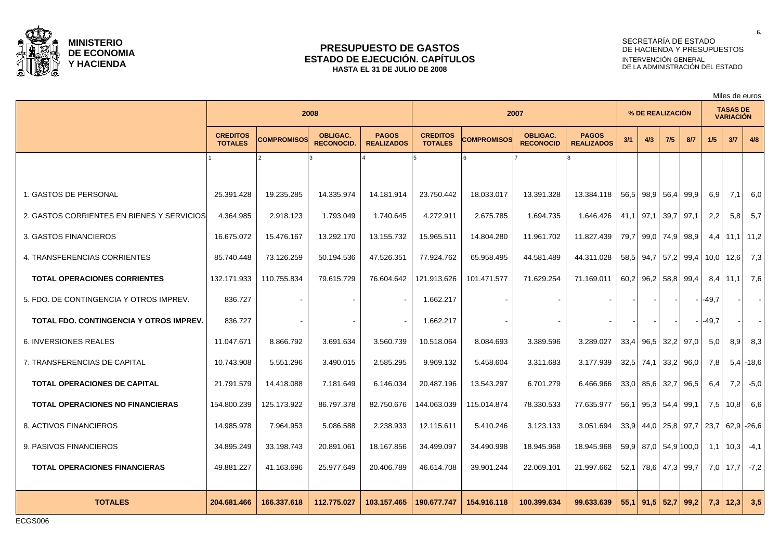

### **PRESUPUESTO DE GASTOS ESTADO DE EJECUCIÓN. CAPÍTULOS HASTA EL 31 DE JULIO DE 2008**

## SECRETARÍA DE ESTADO DE HACIENDA Y PRESUPUESTOS INTERVENCIÓN GENERAL DE LA ADMINISTRACIÓN DEL ESTADO

Miles de euros

|                                                |                                   | 2008               |                                      |                                   | 2007                              |                    |                                     |                                   | % DE REALIZACIÓN |                       |      |             | <b>TASAS DE</b><br><b>VARIACIÓN</b> |                   |              |  |
|------------------------------------------------|-----------------------------------|--------------------|--------------------------------------|-----------------------------------|-----------------------------------|--------------------|-------------------------------------|-----------------------------------|------------------|-----------------------|------|-------------|-------------------------------------|-------------------|--------------|--|
|                                                | <b>CREDITOS</b><br><b>TOTALES</b> | <b>COMPROMISOS</b> | <b>OBLIGAC.</b><br><b>RECONOCID.</b> | <b>PAGOS</b><br><b>REALIZADOS</b> | <b>CREDITOS</b><br><b>TOTALES</b> | <b>COMPROMISOS</b> | <b>OBLIGAC.</b><br><b>RECONOCID</b> | <b>PAGOS</b><br><b>REALIZADOS</b> | 3/1              | 4/3                   | 7/5  | 8/7         | 1/5                                 | 3/7               | 4/8          |  |
|                                                |                                   |                    |                                      |                                   |                                   |                    |                                     |                                   |                  |                       |      |             |                                     |                   |              |  |
| 1. GASTOS DE PERSONAL                          | 25.391.428                        | 19.235.285         | 14.335.974                           | 14.181.914                        | 23.750.442                        | 18.033.017         | 13.391.328                          | 13.384.118                        |                  | 56,5 98,9             | 56,4 | 99,9        | 6,9                                 | 7,1               | 6,0          |  |
| 2. GASTOS CORRIENTES EN BIENES Y SERVICIOS     | 4.364.985                         | 2.918.123          | 1.793.049                            | 1.740.645                         | 4.272.911                         | 2.675.785          | 1.694.735                           | 1.646.426                         | 41,1             | 97,1                  | 39,7 | 97,1        | 2,2                                 | 5,8               | 5,7          |  |
| 3. GASTOS FINANCIEROS                          | 16.675.072                        | 15.476.167         | 13.292.170                           | 13.155.732                        | 15.965.511                        | 14.804.280         | 11.961.702                          | 11.827.439                        | 79,7             | 99,0                  | 74,9 | 98,9        | 4,4                                 | 11,1              | 11,2         |  |
| 4. TRANSFERENCIAS CORRIENTES                   | 85.740.448                        | 73.126.259         | 50.194.536                           | 47.526.351                        | 77.924.762                        | 65.958.495         | 44.581.489                          | 44.311.028                        | 58,5             | 94,7                  |      | $57,2$ 99,4 | 10,0                                | 12,6              | 7,3          |  |
| <b>TOTAL OPERACIONES CORRIENTES</b>            | 132.171.933                       | 110.755.834        | 79.615.729                           | 76.604.642                        | 121.913.626                       | 101.471.577        | 71.629.254                          | 71.169.011                        | 60,2             | 96,2                  |      | 58,8 99,4   | 8,4                                 | 11,1              | 7,6          |  |
| 5. FDO. DE CONTINGENCIA Y OTROS IMPREV.        | 836.727                           |                    |                                      |                                   | 1.662.217                         |                    |                                     |                                   |                  |                       |      |             | $-49,7$                             |                   | $\sim$       |  |
| <b>TOTAL FDO. CONTINGENCIA Y OTROS IMPREV.</b> | 836.727                           |                    |                                      |                                   | 1.662.217                         |                    |                                     |                                   |                  |                       |      |             | $-49,7$                             |                   |              |  |
| <b>6. INVERSIONES REALES</b>                   | 11.047.671                        | 8.866.792          | 3.691.634                            | 3.560.739                         | 10.518.064                        | 8.084.693          | 3.389.596                           | 3.289.027                         | 33,4             | 96,5                  |      | 32,2 97,0   | 5,0                                 | 8,9               | 8,3          |  |
| 7. TRANSFERENCIAS DE CAPITAL                   | 10.743.908                        | 5.551.296          | 3.490.015                            | 2.585.295                         | 9.969.132                         | 5.458.604          | 3.311.683                           | 3.177.939                         |                  | $32.5$ 74,1 33,2 96,0 |      |             | 7,8                                 |                   | $5,4$ - 18,6 |  |
| <b>TOTAL OPERACIONES DE CAPITAL</b>            | 21.791.579                        | 14.418.088         | 7.181.649                            | 6.146.034                         | 20.487.196                        | 13.543.297         | 6.701.279                           | 6.466.966                         |                  | $33,0$ 85,6 32,7      |      | 96,5        | 6,4                                 | 7,2               | $-5,0$       |  |
| <b>TOTAL OPERACIONES NO FINANCIERAS</b>        | 154.800.239                       | 125.173.922        | 86.797.378                           | 82.750.676                        | 144.063.039                       | 115.014.874        | 78.330.533                          | 77.635.977                        | 56,1             | $95,3$ 54,4           |      | 99,1        | 7,5                                 | 10,8              | 6,6          |  |
| 8. ACTIVOS FINANCIEROS                         | 14.985.978                        | 7.964.953          | 5.086.588                            | 2.238.933                         | 12.115.611                        | 5.410.246          | 3.123.133                           | 3.051.694                         |                  | $33,9$ 44,0           |      |             | 25,8 97,7 23,7                      |                   | $62,9$ -26,6 |  |
| 9. PASIVOS FINANCIEROS                         | 34.895.249                        | 33.198.743         | 20.891.061                           | 18.167.856                        | 34.499.097                        | 34.490.998         | 18.945.968                          | 18.945.968                        |                  | 59,9 87,0 54,9 100,0  |      |             | 1,1                                 | 10,3              | $-4,1$       |  |
| <b>TOTAL OPERACIONES FINANCIERAS</b>           | 49.881.227                        | 41.163.696         | 25.977.649                           | 20.406.789                        | 46.614.708                        | 39.901.244         | 22.069.101                          | 21.997.662                        |                  | 52,1 78,6 47,3 99,7   |      |             | 7,0                                 | 17.7 <sup>1</sup> | $-7,2$       |  |
| <b>TOTALES</b>                                 | 204.681.466                       | 166.337.618        | 112.775.027                          | 103.157.465                       | 190.677.747                       | 154.916.118        | 100.399.634                         | 99.633.639                        | 55.1             | 91.5 52.7             |      | 99.2        |                                     | $7,3$   12,3      | 3,5          |  |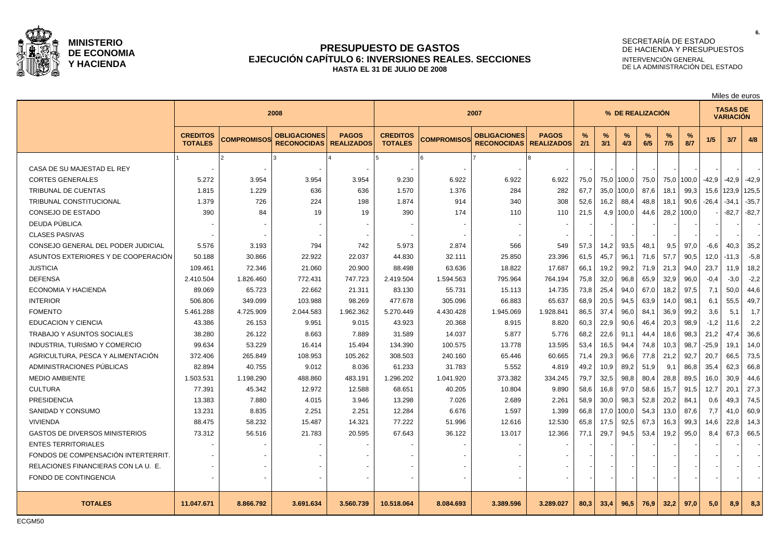

### **PRESUPUESTO DE GASTOS EJECUCIÓN CAPÍTULO 6: INVERSIONES REALES. SECCIONES HASTA EL 31 DE JULIO DE 2008**

# SECRETARÍA DE ESTADO DE HACIENDA Y PRESUPUESTOS INTERVENCIÓN GENERAL DE LA ADMINISTRACIÓN DEL ESTADO

|                                       |                                   |                    |                                           |                                   |                                   |                    |                                           |                                   | Miles de euros   |          |          |          |             |          |                                     |         |         |
|---------------------------------------|-----------------------------------|--------------------|-------------------------------------------|-----------------------------------|-----------------------------------|--------------------|-------------------------------------------|-----------------------------------|------------------|----------|----------|----------|-------------|----------|-------------------------------------|---------|---------|
|                                       |                                   |                    | 2008                                      |                                   |                                   |                    | 2007                                      |                                   | % DE REALIZACIÓN |          |          |          |             |          | <b>TASAS DE</b><br><b>VARIACIÓN</b> |         |         |
|                                       | <b>CREDITOS</b><br><b>TOTALES</b> | <b>COMPROMISOS</b> | <b>OBLIGACIONES</b><br><b>RECONOCIDAS</b> | <b>PAGOS</b><br><b>REALIZADOS</b> | <b>CREDITOS</b><br><b>TOTALES</b> | <b>COMPROMISOS</b> | <b>OBLIGACIONES</b><br><b>RECONOCIDAS</b> | <b>PAGOS</b><br><b>REALIZADOS</b> | %<br>2/1         | %<br>3/1 | %<br>4/3 | %<br>6/5 | $\%$<br>7/5 | %<br>8/7 | 1/5                                 | 3/7     | 4/8     |
|                                       |                                   |                    |                                           |                                   |                                   |                    |                                           |                                   |                  |          |          |          |             |          |                                     |         |         |
| CASA DE SU MAJESTAD EL REY            |                                   |                    |                                           |                                   | $\overline{\phantom{0}}$          |                    |                                           |                                   |                  |          |          |          |             |          |                                     |         |         |
| <b>CORTES GENERALES</b>               | 5.272                             | 3.954              | 3.954                                     | 3.954                             | 9.230                             | 6.922              | 6.922                                     | 6.922                             | 75,0             | 75,0     | 100,0    | 75,0     | 75,0        | 100,0    | $-42,9$                             | $-42.9$ | $-42,9$ |
| TRIBUNAL DE CUENTAS                   | 1.815                             | 1.229              | 636                                       | 636                               | 1.570                             | 1.376              | 284                                       | 282                               | 67.7             | 35.0     | 100,0    | 87.6     | 18,1        | 99,3     | 15,6                                | 123,9   | 125,5   |
| TRIBUNAL CONSTITUCIONAL               | 1.379                             | 726                | 224                                       | 198                               | 1.874                             | 914                | 340                                       | 308                               | 52,6             | 16,2     | 88,4     | 48,8     | 18,1        | 90,6     | $-26,4$                             | $-34.1$ | $-35,7$ |
| CONSEJO DE ESTADO                     | 390                               | 84                 | 19                                        | 19                                | 390                               | 174                | 110                                       | 110                               | 21,5             | 4,9      | 100,0    | 44,6     | 28,2        | 100,0    |                                     | $-82,7$ | $-82,7$ |
| DEUDA PÚBLICA                         |                                   |                    |                                           |                                   |                                   |                    |                                           |                                   |                  |          |          |          |             |          |                                     |         |         |
| <b>CLASES PASIVAS</b>                 |                                   |                    |                                           |                                   |                                   |                    |                                           |                                   |                  |          |          |          |             |          |                                     |         |         |
| CONSEJO GENERAL DEL PODER JUDICIAL    | 5.576                             | 3.193              | 794                                       | 742                               | 5.973                             | 2.874              | 566                                       | 549                               | 57.3             | 14,2     | 93,5     | 48.1     | 9,5         | 97.0     | $-6.6$                              | 40.3    | 35,2    |
| ASUNTOS EXTERIORES Y DE COOPERACIÓN   | 50.188                            | 30.866             | 22.922                                    | 22.037                            | 44.830                            | 32.111             | 25.850                                    | 23.396                            | 61.5             | 45,7     | 96,1     | 71,6     | 57,7        | 90.5     | 12,0                                | $-11,3$ | $-5,8$  |
| <b>JUSTICIA</b>                       | 109.461                           | 72.346             | 21.060                                    | 20.900                            | 88.498                            | 63.636             | 18.822                                    | 17.687                            | 66,1             | 19,2     | 99,2     | 71,9     | 21,3        | 94,0     | 23,7                                | 11,9    | 18,2    |
| <b>DEFENSA</b>                        | 2.410.504                         | 1.826.460          | 772.431                                   | 747.723                           | 2.419.504                         | 1.594.563          | 795.964                                   | 764.194                           | 75,8             | 32,0     | 96,8     | 65,9     | 32,9        | 96,0     | $-0,4$                              | $-3,0$  | $-2,2$  |
| <b>ECONOMIA Y HACIENDA</b>            | 89.069                            | 65.723             | 22.662                                    | 21.311                            | 83.130                            | 55.731             | 15.113                                    | 14.735                            | 73,8             | 25,4     | 94,0     | 67,0     | 18,2        | 97,5     | 7,1                                 | 50,0    | 44,6    |
| <b>INTERIOR</b>                       | 506.806                           | 349.099            | 103.988                                   | 98.269                            | 477.678                           | 305.096            | 66.883                                    | 65.637                            | 68,9             | 20,5     | 94,5     | 63,9     | 14.0        | 98.1     | 6,1                                 | 55,5    | 49.7    |
| <b>FOMENTO</b>                        | 5.461.288                         | 4.725.909          | 2.044.583                                 | 1.962.362                         | 5.270.449                         | 4.430.428          | 1.945.069                                 | 1.928.841                         | 86,5             | 37,4     | 96,0     | 84,1     | 36,9        | 99,2     | 3,6                                 | 5,1     | 1,7     |
| <b>EDUCACION Y CIENCIA</b>            | 43.386                            | 26.153             | 9.951                                     | 9.015                             | 43.923                            | 20.368             | 8.915                                     | 8.820                             | 60,3             | 22,9     | 90,6     | 46,4     | 20,3        | 98,9     | $-1,2$                              | 11,6    | 2,2     |
| <b>TRABAJO Y ASUNTOS SOCIALES</b>     | 38.280                            | 26.122             | 8.663                                     | 7.889                             | 31.589                            | 14.037             | 5.877                                     | 5.776                             | 68,2             | 22,6     | 91,1     | 44,4     | 18,6        | 98,3     | 21,2                                | 47.4    | 36,6    |
| INDUSTRIA, TURISMO Y COMERCIO         | 99.634                            | 53.229             | 16.414                                    | 15.494                            | 134.390                           | 100.575            | 13.778                                    | 13.595                            | 53,4             | 16,5     | 94,4     | 74,8     | 10,3        | 98,7     | $-25,9$                             | 19,1    | 14,0    |
| AGRICULTURA, PESCA Y ALIMENTACIÓN     | 372.406                           | 265.849            | 108.953                                   | 105.262                           | 308.503                           | 240.160            | 65.446                                    | 60.665                            | 71,4             | 29,3     | 96,6     | 77,8     | 21,2        | 92,7     | 20,7                                | 66,5    | 73,5    |
| ADMINISTRACIONES PÚBLICAS             | 82.894                            | 40.755             | 9.012                                     | 8.036                             | 61.233                            | 31.783             | 5.552                                     | 4.819                             | 49,2             | 10,9     | 89,2     | 51.9     | 9,1         | 86.8     | 35,4                                | 62,3    | 66,8    |
| <b>MEDIO AMBIENTE</b>                 | 1.503.531                         | 1.198.290          | 488.860                                   | 483.191                           | 1.296.202                         | 1.041.920          | 373.382                                   | 334.245                           | 79,7             | 32,5     | 98,8     | 80,4     | 28,8        | 89,5     | 16,0                                | 30,9    | 44,6    |
| <b>CULTURA</b>                        | 77.391                            | 45.342             | 12.972                                    | 12.588                            | 68.651                            | 40.205             | 10.804                                    | 9.890                             | 58,6             | 16,8     | 97,0     | 58,6     | 15,7        | 91,5     | 12,7                                | 20.7    | 27,3    |
| <b>PRESIDENCIA</b>                    | 13.383                            | 7.880              | 4.015                                     | 3.946                             | 13.298                            | 7.026              | 2.689                                     | 2.261                             | 58,9             | 30,0     | 98,3     | 52,8     | 20,2        | 84,1     | 0,6                                 | 49,3    | 74,5    |
| SANIDAD Y CONSUMO                     | 13.231                            | 8.835              | 2.251                                     | 2.251                             | 12.284                            | 6.676              | 1.597                                     | 1.399                             | 66,8             | 17,0     | 100,0    | 54,3     | 13,0        | 87,6     | 7,7                                 | 41.0    | 60,9    |
| <b>VIVIENDA</b>                       | 88.475                            | 58.232             | 15.487                                    | 14.321                            | 77.222                            | 51.996             | 12.616                                    | 12.530                            | 65.8             | 17,5     | 92,5     | 67,3     | 16,3        | 99,3     | 14,6                                | 22,8    | 14,3    |
| <b>GASTOS DE DIVERSOS MINISTERIOS</b> | 73.312                            | 56.516             | 21.783                                    | 20.595                            | 67.643                            | 36.122             | 13.017                                    | 12.366                            | 77.1             | 29,7     | 94,5     | 53,4     | 19,2        | 95,0     | 8,4                                 | 67.3    | 66,5    |
| <b>ENTES TERRITORIALES</b>            |                                   |                    |                                           |                                   |                                   |                    |                                           |                                   |                  |          |          |          |             |          |                                     |         |         |
| FONDOS DE COMPENSACIÓN INTERTERRIT.   |                                   |                    |                                           |                                   |                                   |                    |                                           |                                   |                  |          |          |          |             |          |                                     |         |         |
| RELACIONES FINANCIERAS CON LA U. E.   |                                   |                    |                                           |                                   |                                   |                    |                                           |                                   |                  |          |          |          |             |          |                                     |         |         |
| FONDO DE CONTINGENCIA                 |                                   | $\overline{a}$     |                                           |                                   |                                   |                    |                                           |                                   |                  |          |          |          |             |          |                                     |         |         |
| <b>TOTALES</b>                        | 11.047.671                        | 8.866.792          | 3.691.634                                 | 3.560.739                         | 10.518.064                        | 8.084.693          | 3.389.596                                 | 3.289.027                         | 80.3             | 33,4     | 96,5     | 76,9     | 32,2        | 97.0     | 5,0                                 | 8,9     | 8,3     |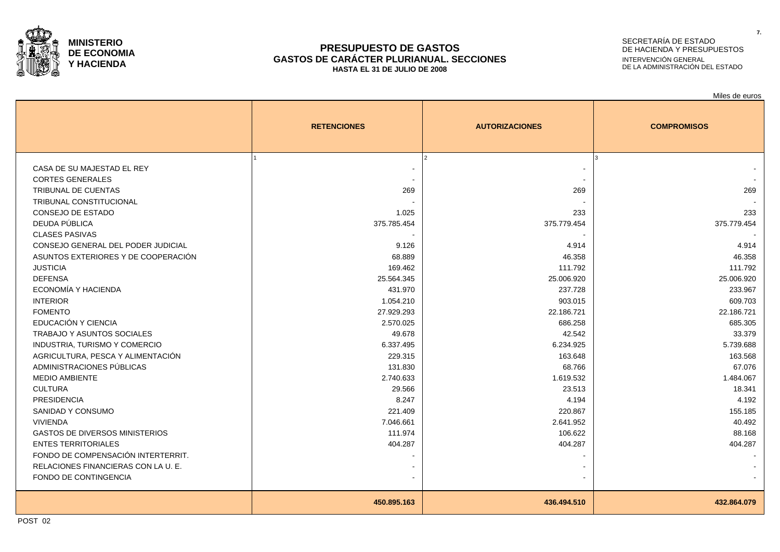

#### **PRESUPUESTO DE GASTOS GASTOS DE CARÁCTER PLURIANUAL. SECCIONES HASTA EL 31 DE JULIO DE 2008**

# SECRETARÍA DE ESTADO DE HACIENDA Y PRESUPUESTOS INTERVENCIÓN GENERAL DE LA ADMINISTRACIÓN DEL ESTADO

Miles de euros

|                                                       | <b>RETENCIONES</b> | <b>AUTORIZACIONES</b> | <b>COMPROMISOS</b> |
|-------------------------------------------------------|--------------------|-----------------------|--------------------|
|                                                       |                    |                       |                    |
| CASA DE SU MAJESTAD EL REY<br><b>CORTES GENERALES</b> |                    |                       |                    |
| <b>TRIBUNAL DE CUENTAS</b>                            | 269                | 269                   | 269                |
| TRIBUNAL CONSTITUCIONAL                               |                    |                       |                    |
| CONSEJO DE ESTADO                                     |                    |                       |                    |
| DEUDA PÚBLICA                                         | 1.025              | 233                   | 233                |
|                                                       | 375.785.454        | 375.779.454           | 375.779.454        |
| <b>CLASES PASIVAS</b>                                 |                    |                       |                    |
| CONSEJO GENERAL DEL PODER JUDICIAL                    | 9.126              | 4.914                 | 4.914              |
| ASUNTOS EXTERIORES Y DE COOPERACIÓN                   | 68.889             | 46.358                | 46.358             |
| <b>JUSTICIA</b>                                       | 169.462            | 111.792               | 111.792            |
| <b>DEFENSA</b><br>ECONOMÍA Y HACIENDA                 | 25.564.345         | 25.006.920            | 25.006.920         |
|                                                       | 431.970            | 237.728               | 233.967            |
| <b>INTERIOR</b>                                       | 1.054.210          | 903.015               | 609.703            |
| <b>FOMENTO</b><br>EDUCACIÓN Y CIENCIA                 | 27.929.293         | 22.186.721            | 22.186.721         |
|                                                       | 2.570.025          | 686.258               | 685.305<br>33.379  |
| <b>TRABAJO Y ASUNTOS SOCIALES</b>                     | 49.678             | 42.542                |                    |
| <b>INDUSTRIA, TURISMO Y COMERCIO</b>                  | 6.337.495          | 6.234.925             | 5.739.688          |
| AGRICULTURA, PESCA Y ALIMENTACIÓN                     | 229.315            | 163.648               | 163.568            |
| ADMINISTRACIONES PÚBLICAS                             | 131.830            | 68.766                | 67.076             |
| <b>MEDIO AMBIENTE</b>                                 | 2.740.633          | 1.619.532             | 1.484.067          |
| <b>CULTURA</b>                                        | 29.566             | 23.513                | 18.341             |
| <b>PRESIDENCIA</b>                                    | 8.247              | 4.194                 | 4.192              |
| SANIDAD Y CONSUMO                                     | 221.409            | 220.867               | 155.185            |
| <b>VIVIENDA</b>                                       | 7.046.661          | 2.641.952             | 40.492             |
| <b>GASTOS DE DIVERSOS MINISTERIOS</b>                 | 111.974            | 106.622               | 88.168             |
| <b>ENTES TERRITORIALES</b>                            | 404.287            | 404.287               | 404.287            |
| FONDO DE COMPENSACIÓN INTERTERRIT.                    |                    |                       |                    |
| RELACIONES FINANCIERAS CON LA U. E.                   |                    |                       |                    |
| FONDO DE CONTINGENCIA                                 |                    |                       |                    |
|                                                       | 450.895.163        | 436.494.510           | 432.864.079        |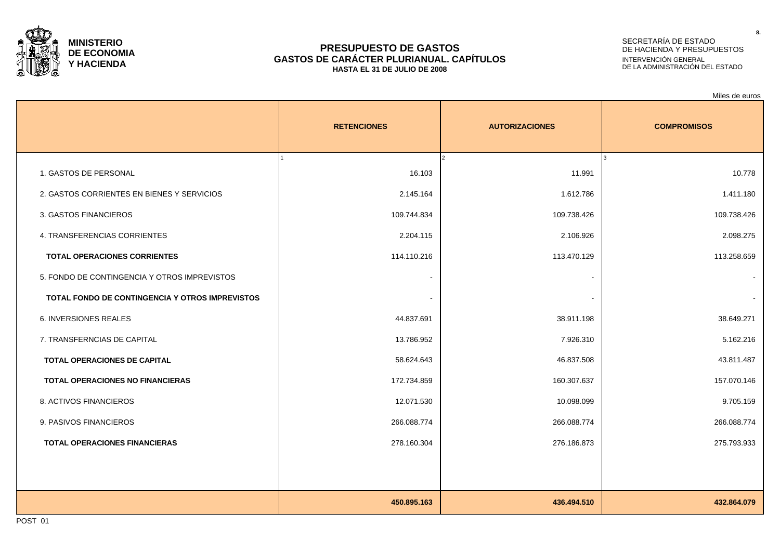

### **PRESUPUESTO DE GASTOS GASTOS DE CARÁCTER PLURIANUAL. CAPÍTULOS HASTA EL 31 DE JULIO DE 2008**

## SECRETARÍA DE ESTADO DE HACIENDA Y PRESUPUESTOS INTERVENCIÓN GENERAL DE LA ADMINISTRACIÓN DEL ESTADO

Miles de euros

|                                                 | <b>RETENCIONES</b> | <b>AUTORIZACIONES</b>   | <b>COMPROMISOS</b> |
|-------------------------------------------------|--------------------|-------------------------|--------------------|
| 1. GASTOS DE PERSONAL                           | 16.103             | $\mathcal{L}$<br>11.991 | 10.778             |
| 2. GASTOS CORRIENTES EN BIENES Y SERVICIOS      | 2.145.164          | 1.612.786               | 1.411.180          |
| 3. GASTOS FINANCIEROS                           | 109.744.834        | 109.738.426             | 109.738.426        |
| 4. TRANSFERENCIAS CORRIENTES                    | 2.204.115          | 2.106.926               | 2.098.275          |
| <b>TOTAL OPERACIONES CORRIENTES</b>             | 114.110.216        | 113.470.129             | 113.258.659        |
| 5. FONDO DE CONTINGENCIA Y OTROS IMPREVISTOS    |                    |                         |                    |
| TOTAL FONDO DE CONTINGENCIA Y OTROS IMPREVISTOS |                    |                         |                    |
| <b>6. INVERSIONES REALES</b>                    | 44.837.691         | 38.911.198              | 38.649.271         |
| 7. TRANSFERNCIAS DE CAPITAL                     | 13.786.952         | 7.926.310               | 5.162.216          |
| TOTAL OPERACIONES DE CAPITAL                    | 58.624.643         | 46.837.508              | 43.811.487         |
| <b>TOTAL OPERACIONES NO FINANCIERAS</b>         | 172.734.859        | 160.307.637             | 157.070.146        |
| 8. ACTIVOS FINANCIEROS                          | 12.071.530         | 10.098.099              | 9.705.159          |
| 9. PASIVOS FINANCIEROS                          | 266.088.774        | 266.088.774             | 266.088.774        |
| <b>TOTAL OPERACIONES FINANCIERAS</b>            | 278.160.304        | 276.186.873             | 275.793.933        |
|                                                 |                    |                         |                    |
|                                                 |                    |                         |                    |
|                                                 | 450.895.163        | 436.494.510             | 432.864.079        |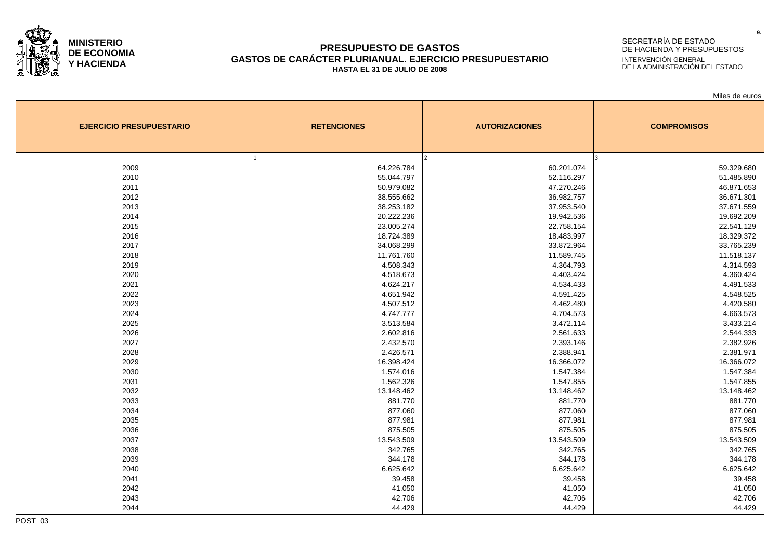

### **PRESUPUESTO DE GASTOS GASTOS DE CARÁCTER PLURIANUAL. EJERCICIO PRESUPUESTARIO HASTA EL 31 DE JULIO DE 2008**

### SECRETARÍA DE ESTADO DE HACIENDA Y PRESUPUESTOS INTERVENCIÓN GENERAL DE LA ADMINISTRACIÓN DEL ESTADO

Miles de euros

| <b>EJERCICIO PRESUPUESTARIO</b> | <b>RETENCIONES</b> | <b>AUTORIZACIONES</b> | <b>COMPROMISOS</b> |
|---------------------------------|--------------------|-----------------------|--------------------|
|                                 |                    | <sup>2</sup>          | I٩                 |
| 2009                            | 64.226.784         | 60.201.074            | 59.329.680         |
| 2010                            | 55.044.797         | 52.116.297            | 51.485.890         |
| 2011                            | 50.979.082         | 47.270.246            | 46.871.653         |
| 2012                            | 38.555.662         | 36.982.757            | 36.671.301         |
| 2013                            | 38.253.182         | 37.953.540            | 37.671.559         |
| 2014                            | 20.222.236         | 19.942.536            | 19.692.209         |
| 2015                            | 23.005.274         | 22.758.154            | 22.541.129         |
| 2016                            | 18.724.389         | 18.483.997            | 18.329.372         |
| 2017                            | 34.068.299         | 33.872.964            | 33.765.239         |
| 2018                            | 11.761.760         | 11.589.745            | 11.518.137         |
| 2019                            | 4.508.343          | 4.364.793             | 4.314.593          |
| 2020                            | 4.518.673          | 4.403.424             | 4.360.424          |
| 2021                            | 4.624.217          | 4.534.433             | 4.491.533          |
| 2022                            | 4.651.942          | 4.591.425             | 4.548.525          |
| 2023                            | 4.507.512          | 4.462.480             | 4.420.580          |
| 2024                            | 4.747.777          | 4.704.573             | 4.663.573          |
| 2025                            | 3.513.584          | 3.472.114             | 3.433.214          |
| 2026                            | 2.602.816          | 2.561.633             | 2.544.333          |
| 2027                            | 2.432.570          | 2.393.146             | 2.382.926          |
| 2028                            | 2.426.571          | 2.388.941             | 2.381.971          |
| 2029                            | 16.398.424         | 16.366.072            | 16.366.072         |
| 2030                            | 1.574.016          | 1.547.384             | 1.547.384          |
| 2031                            | 1.562.326          | 1.547.855             | 1.547.855          |
| 2032                            | 13.148.462         | 13.148.462            | 13.148.462         |
| 2033                            | 881.770            | 881.770               | 881.770            |
| 2034                            | 877.060            | 877.060               | 877.060            |
| 2035                            | 877.981            | 877.981               | 877.981            |
| 2036                            | 875.505            | 875.505               | 875.505            |
| 2037                            | 13.543.509         | 13.543.509            | 13.543.509         |
| 2038                            | 342.765            | 342.765               | 342.765            |
| 2039                            | 344.178            | 344.178               | 344.178            |
| 2040                            | 6.625.642          | 6.625.642             | 6.625.642          |
| 2041                            | 39.458             | 39.458                | 39.458             |
| 2042                            | 41.050             | 41.050                | 41.050             |
| 2043                            | 42.706             | 42.706                | 42.706             |
| 2044                            | 44.429             | 44.429                | 44.429             |